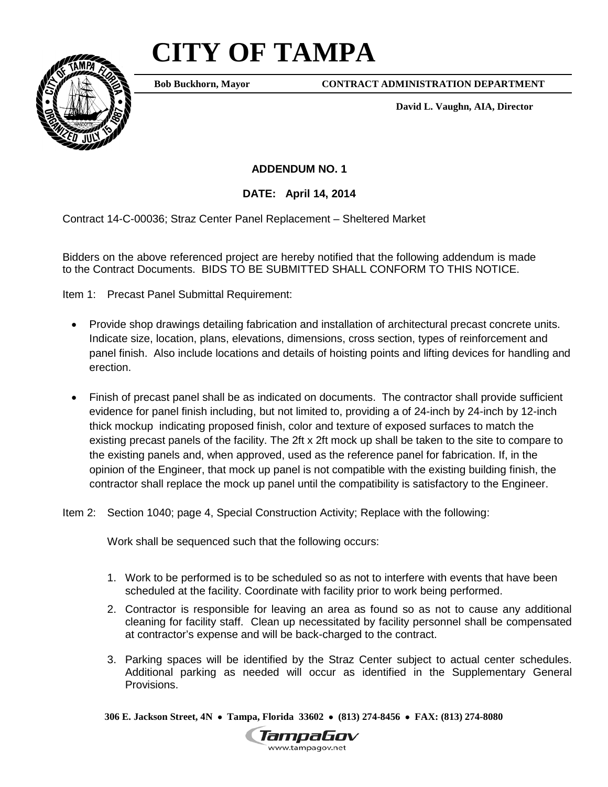## **CITY OF TAMPA**



**Bob Buckhorn, Mayor**

**CONTRACT ADMINISTRATION DEPARTMENT**

**David L. Vaughn, AIA, Director**

**ADDENDUM NO. 1**

**DATE: April 14, 2014**

Contract 14-C-00036; Straz Center Panel Replacement – Sheltered Market

Bidders on the above referenced project are hereby notified that the following addendum is made to the Contract Documents. BIDS TO BE SUBMITTED SHALL CONFORM TO THIS NOTICE.

Item 1: Precast Panel Submittal Requirement:

- Provide shop drawings detailing fabrication and installation of architectural precast concrete units. Indicate size, location, plans, elevations, dimensions, cross section, types of reinforcement and panel finish. Also include locations and details of hoisting points and lifting devices for handling and erection.
- Finish of precast panel shall be as indicated on documents. The contractor shall provide sufficient evidence for panel finish including, but not limited to, providing a of 24-inch by 24-inch by 12-inch thick mockup indicating proposed finish, color and texture of exposed surfaces to match the existing precast panels of the facility. The 2ft x 2ft mock up shall be taken to the site to compare to the existing panels and, when approved, used as the reference panel for fabrication. If, in the opinion of the Engineer, that mock up panel is not compatible with the existing building finish, the contractor shall replace the mock up panel until the compatibility is satisfactory to the Engineer.

Item 2: Section 1040; page 4, Special Construction Activity; Replace with the following:

Work shall be sequenced such that the following occurs:

- 1. Work to be performed is to be scheduled so as not to interfere with events that have been scheduled at the facility. Coordinate with facility prior to work being performed.
- 2. Contractor is responsible for leaving an area as found so as not to cause any additional cleaning for facility staff. Clean up necessitated by facility personnel shall be compensated at contractor's expense and will be back-charged to the contract.
- 3. Parking spaces will be identified by the Straz Center subject to actual center schedules. Additional parking as needed will occur as identified in the Supplementary General Provisions.

**306 E. Jackson Street, 4N** • **Tampa, Florida 33602** • **(813) 274-8456** • **FAX: (813) 274-8080**

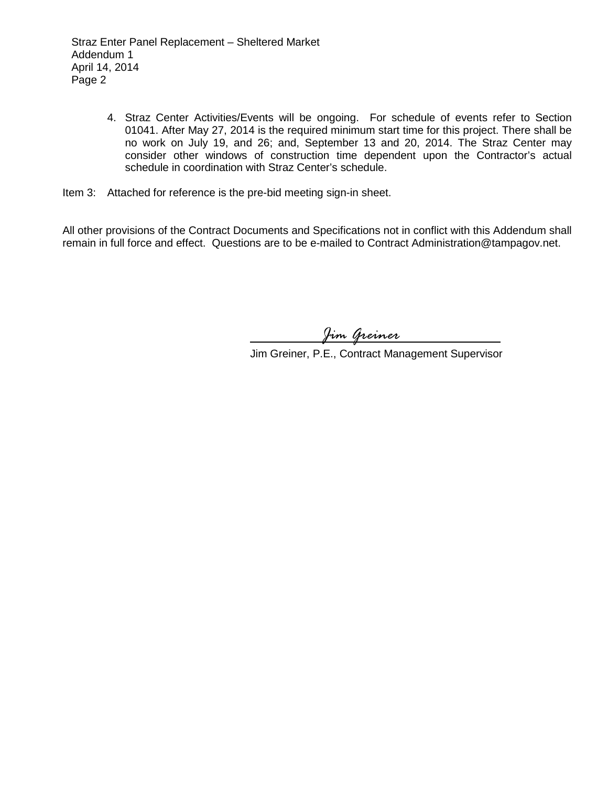4. Straz Center Activities/Events will be ongoing. For schedule of events refer to Section 01041. After May 27, 2014 is the required minimum start time for this project. There shall be no work on July 19, and 26; and, September 13 and 20, 2014. The Straz Center may consider other windows of construction time dependent upon the Contractor's actual schedule in coordination with Straz Center's schedule.

Item 3: Attached for reference is the pre-bid meeting sign-in sheet.

All other provisions of the Contract Documents and Specifications not in conflict with this Addendum shall remain in full force and effect. Questions are to be e-mailed to Contract Administration@tampagov.net.

*Jim Greiner*

Jim Greiner, P.E., Contract Management Supervisor